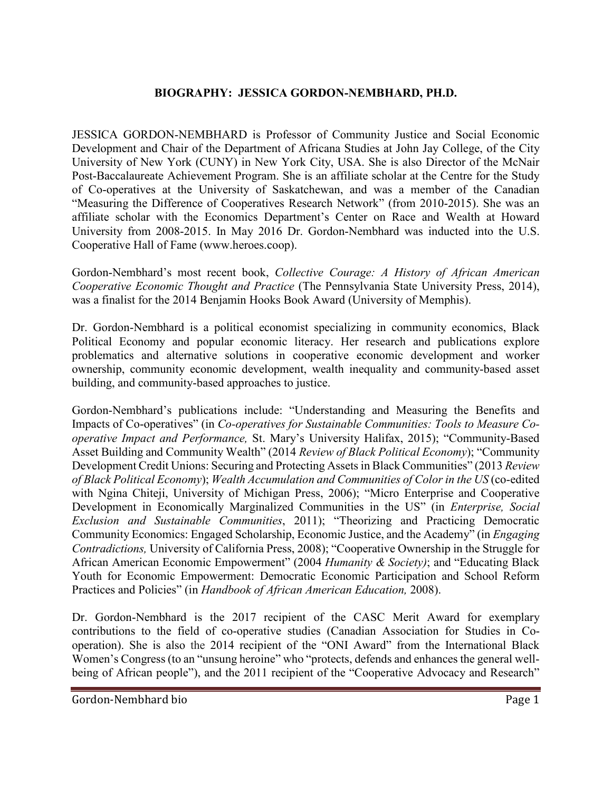## **BIOGRAPHY: JESSICA GORDON-NEMBHARD, PH.D.**

JESSICA GORDON-NEMBHARD is Professor of Community Justice and Social Economic Development and Chair of the Department of Africana Studies at John Jay College, of the City University of New York (CUNY) in New York City, USA. She is also Director of the McNair Post-Baccalaureate Achievement Program. She is an affiliate scholar at the Centre for the Study of Co-operatives at the University of Saskatchewan, and was a member of the Canadian "Measuring the Difference of Cooperatives Research Network" (from 2010-2015). She was an affiliate scholar with the Economics Department's Center on Race and Wealth at Howard University from 2008-2015. In May 2016 Dr. Gordon-Nembhard was inducted into the U.S. Cooperative Hall of Fame (www.heroes.coop).

Gordon-Nembhard's most recent book, *Collective Courage: A History of African American Cooperative Economic Thought and Practice* (The Pennsylvania State University Press, 2014), was a finalist for the 2014 Benjamin Hooks Book Award (University of Memphis).

Dr. Gordon-Nembhard is a political economist specializing in community economics, Black Political Economy and popular economic literacy. Her research and publications explore problematics and alternative solutions in cooperative economic development and worker ownership, community economic development, wealth inequality and community-based asset building, and community-based approaches to justice.

Gordon-Nembhard's publications include: "Understanding and Measuring the Benefits and Impacts of Co-operatives" (in *Co-operatives for Sustainable Communities: Tools to Measure Cooperative Impact and Performance,* St. Mary's University Halifax, 2015); "Community-Based Asset Building and Community Wealth" (2014 *Review of Black Political Economy*); "Community Development Credit Unions: Securing and Protecting Assets in Black Communities" (2013 *Review of Black Political Economy*); *Wealth Accumulation and Communities of Color in the US* (co-edited with Ngina Chiteji, University of Michigan Press, 2006); "Micro Enterprise and Cooperative Development in Economically Marginalized Communities in the US" (in *Enterprise, Social Exclusion and Sustainable Communities*, 2011); "Theorizing and Practicing Democratic Community Economics: Engaged Scholarship, Economic Justice, and the Academy" (in *Engaging Contradictions,* University of California Press, 2008); "Cooperative Ownership in the Struggle for African American Economic Empowerment" (2004 *Humanity & Society)*; and "Educating Black Youth for Economic Empowerment: Democratic Economic Participation and School Reform Practices and Policies" (in *Handbook of African American Education,* 2008).

Dr. Gordon-Nembhard is the 2017 recipient of the CASC Merit Award for exemplary contributions to the field of co-operative studies (Canadian Association for Studies in Cooperation). She is also the 2014 recipient of the "ONI Award" from the International Black Women's Congress (to an "unsung heroine" who "protects, defends and enhances the general wellbeing of African people"), and the 2011 recipient of the "Cooperative Advocacy and Research"